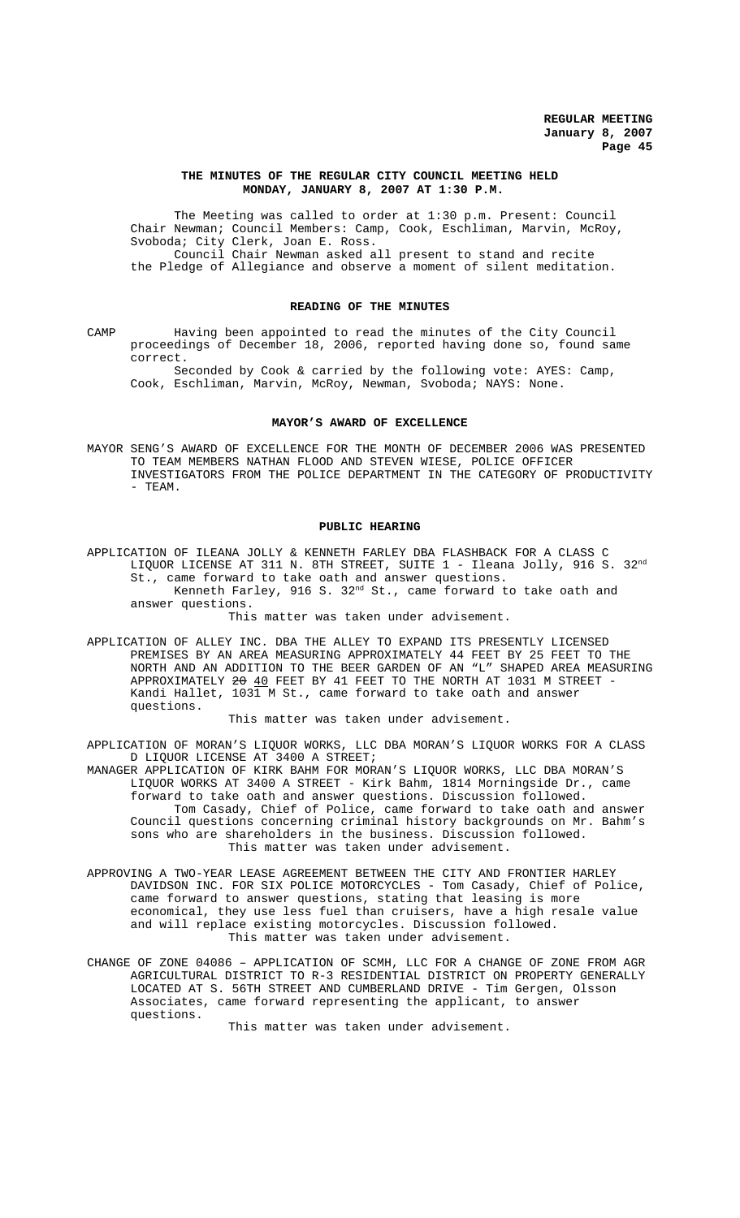## **THE MINUTES OF THE REGULAR CITY COUNCIL MEETING HELD MONDAY, JANUARY 8, 2007 AT 1:30 P.M.**

The Meeting was called to order at 1:30 p.m. Present: Council Chair Newman; Council Members: Camp, Cook, Eschliman, Marvin, McRoy, Svoboda; City Clerk, Joan E. Ross. Council Chair Newman asked all present to stand and recite the Pledge of Allegiance and observe a moment of silent meditation.

## **READING OF THE MINUTES**

CAMP Having been appointed to read the minutes of the City Council proceedings of December 18, 2006, reported having done so, found same correct.

Seconded by Cook & carried by the following vote: AYES: Camp, Cook, Eschliman, Marvin, McRoy, Newman, Svoboda; NAYS: None.

### **MAYOR'S AWARD OF EXCELLENCE**

MAYOR SENG'S AWARD OF EXCELLENCE FOR THE MONTH OF DECEMBER 2006 WAS PRESENTED TO TEAM MEMBERS NATHAN FLOOD AND STEVEN WIESE, POLICE OFFICER INVESTIGATORS FROM THE POLICE DEPARTMENT IN THE CATEGORY OF PRODUCTIVITY - TEAM.

#### **PUBLIC HEARING**

APPLICATION OF ILEANA JOLLY & KENNETH FARLEY DBA FLASHBACK FOR A CLASS C LIQUOR LICENSE AT 311 N. 8TH STREET, SUITE 1 - Ileana Jolly, 916 S. 32nd St., came forward to take oath and answer questions. Kenneth Farley, 916 S. 32<sup>nd</sup> St., came forward to take oath and answer questions.

This matter was taken under advisement.

APPLICATION OF ALLEY INC. DBA THE ALLEY TO EXPAND ITS PRESENTLY LICENSED PREMISES BY AN AREA MEASURING APPROXIMATELY 44 FEET BY 25 FEET TO THE NORTH AND AN ADDITION TO THE BEER GARDEN OF AN "L" SHAPED AREA MEASURING APPROXIMATELY  $2\theta$   $40$  FEET BY 41 FEET TO THE NORTH AT 1031 M STREET -Kandi Hallet, 1031 M St., came forward to take oath and answer questions.

This matter was taken under advisement.

APPLICATION OF MORAN'S LIQUOR WORKS, LLC DBA MORAN'S LIQUOR WORKS FOR A CLASS D LIQUOR LICENSE AT 3400 A STREET;

- MANAGER APPLICATION OF KIRK BAHM FOR MORAN'S LIQUOR WORKS, LLC DBA MORAN'S LIQUOR WORKS AT 3400 A STREET - Kirk Bahm, 1814 Morningside Dr., came forward to take oath and answer questions. Discussion followed. Tom Casady, Chief of Police, came forward to take oath and answer Council questions concerning criminal history backgrounds on Mr. Bahm's sons who are shareholders in the business. Discussion followed. This matter was taken under advisement.
- APPROVING A TWO-YEAR LEASE AGREEMENT BETWEEN THE CITY AND FRONTIER HARLEY DAVIDSON INC. FOR SIX POLICE MOTORCYCLES - Tom Casady, Chief of Police, came forward to answer questions, stating that leasing is more economical, they use less fuel than cruisers, have a high resale value and will replace existing motorcycles. Discussion followed. This matter was taken under advisement.
- CHANGE OF ZONE 04086 APPLICATION OF SCMH, LLC FOR A CHANGE OF ZONE FROM AGR AGRICULTURAL DISTRICT TO R-3 RESIDENTIAL DISTRICT ON PROPERTY GENERALLY LOCATED AT S. 56TH STREET AND CUMBERLAND DRIVE - Tim Gergen, Olsson Associates, came forward representing the applicant, to answer questions.

This matter was taken under advisement.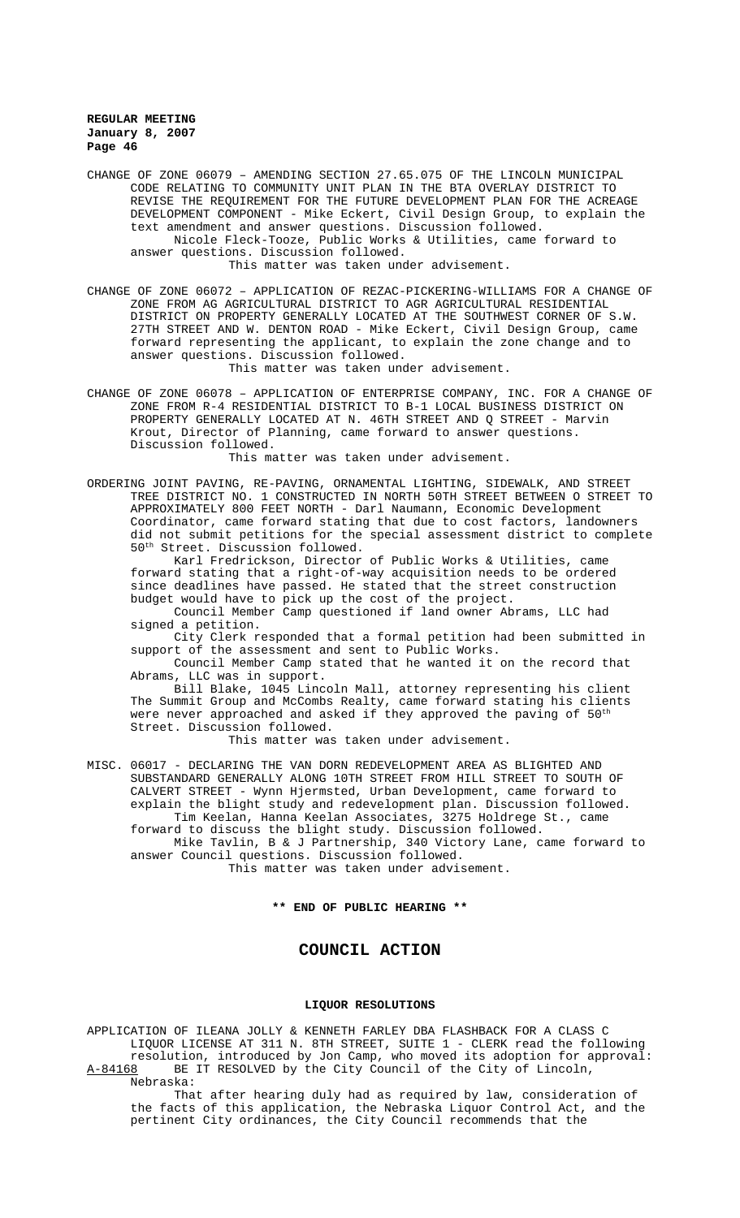CHANGE OF ZONE 06079 – AMENDING SECTION 27.65.075 OF THE LINCOLN MUNICIPAL CODE RELATING TO COMMUNITY UNIT PLAN IN THE BTA OVERLAY DISTRICT TO REVISE THE REQUIREMENT FOR THE FUTURE DEVELOPMENT PLAN FOR THE ACREAGE DEVELOPMENT COMPONENT - Mike Eckert, Civil Design Group, to explain the text amendment and answer questions. Discussion followed. Nicole Fleck-Tooze, Public Works & Utilities, came forward to answer questions. Discussion followed. This matter was taken under advisement.

CHANGE OF ZONE 06072 – APPLICATION OF REZAC-PICKERING-WILLIAMS FOR A CHANGE OF ZONE FROM AG AGRICULTURAL DISTRICT TO AGR AGRICULTURAL RESIDENTIAL DISTRICT ON PROPERTY GENERALLY LOCATED AT THE SOUTHWEST CORNER OF S.W. 27TH STREET AND W. DENTON ROAD - Mike Eckert, Civil Design Group, came forward representing the applicant, to explain the zone change and to answer questions. Discussion followed.

This matter was taken under advisement.

CHANGE OF ZONE 06078 – APPLICATION OF ENTERPRISE COMPANY, INC. FOR A CHANGE OF ZONE FROM R-4 RESIDENTIAL DISTRICT TO B-1 LOCAL BUSINESS DISTRICT ON PROPERTY GENERALLY LOCATED AT N. 46TH STREET AND Q STREET - Marvin Krout, Director of Planning, came forward to answer questions. Discussion followed.

This matter was taken under advisement.

ORDERING JOINT PAVING, RE-PAVING, ORNAMENTAL LIGHTING, SIDEWALK, AND STREET TREE DISTRICT NO. 1 CONSTRUCTED IN NORTH 50TH STREET BETWEEN O STREET TO APPROXIMATELY 800 FEET NORTH - Darl Naumann, Economic Development Coordinator, came forward stating that due to cost factors, landowners did not submit petitions for the special assessment district to complete 50th Street. Discussion followed.

Karl Fredrickson, Director of Public Works & Utilities, came forward stating that a right-of-way acquisition needs to be ordered since deadlines have passed. He stated that the street construction budget would have to pick up the cost of the project.

Council Member Camp questioned if land owner Abrams, LLC had signed a petition.

City Clerk responded that a formal petition had been submitted in support of the assessment and sent to Public Works.

Council Member Camp stated that he wanted it on the record that Abrams, LLC was in support.

Bill Blake, 1045 Lincoln Mall, attorney representing his client The Summit Group and McCombs Realty, came forward stating his clients were never approached and asked if they approved the paving of  $50^{\rm th}$ Street. Discussion followed.

This matter was taken under advisement.

MISC. 06017 - DECLARING THE VAN DORN REDEVELOPMENT AREA AS BLIGHTED AND SUBSTANDARD GENERALLY ALONG 10TH STREET FROM HILL STREET TO SOUTH OF CALVERT STREET - Wynn Hjermsted, Urban Development, came forward to explain the blight study and redevelopment plan. Discussion followed. Tim Keelan, Hanna Keelan Associates, 3275 Holdrege St., came forward to discuss the blight study. Discussion followed. Mike Tavlin, B & J Partnership, 340 Victory Lane, came forward to answer Council questions. Discussion followed.

This matter was taken under advisement.

## **\*\* END OF PUBLIC HEARING \*\***

## **COUNCIL ACTION**

#### **LIQUOR RESOLUTIONS**

APPLICATION OF ILEANA JOLLY & KENNETH FARLEY DBA FLASHBACK FOR A CLASS C LIQUOR LICENSE AT 311 N. 8TH STREET, SUITE 1 - CLERK read the following resolution, introduced by Jon Camp, who moved its adoption for approval: A-84168 BE IT RESOLVED by the City Council of the City of Lincoln,

Nebraska:

That after hearing duly had as required by law, consideration of the facts of this application, the Nebraska Liquor Control Act, and the pertinent City ordinances, the City Council recommends that the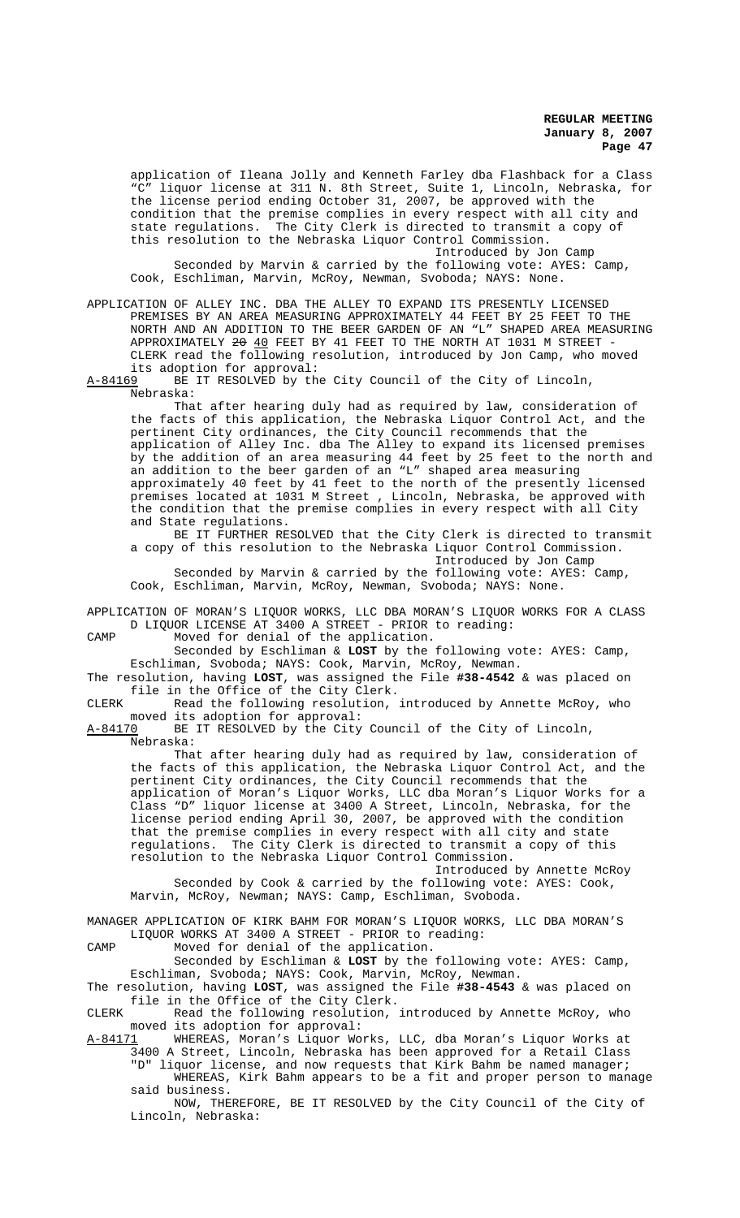application of Ileana Jolly and Kenneth Farley dba Flashback for a Class "C" liquor license at 311 N. 8th Street, Suite 1, Lincoln, Nebraska, for the license period ending October 31, 2007, be approved with the condition that the premise complies in every respect with all city and state regulations. The City Clerk is directed to transmit a copy of The City Clerk is directed to transmit a copy of this resolution to the Nebraska Liquor Control Commission. Introduced by Jon Camp Seconded by Marvin & carried by the following vote: AYES: Camp,

Cook, Eschliman, Marvin, McRoy, Newman, Svoboda; NAYS: None.

APPLICATION OF ALLEY INC. DBA THE ALLEY TO EXPAND ITS PRESENTLY LICENSED PREMISES BY AN AREA MEASURING APPROXIMATELY 44 FEET BY 25 FEET TO THE NORTH AND AN ADDITION TO THE BEER GARDEN OF AN "L" SHAPED AREA MEASURING APPROXIMATELY  $\frac{20}{10}$  FEET BY 41 FEET TO THE NORTH AT 1031 M STREET -CLERK read the following resolution, introduced by Jon Camp, who moved its adoption for approval:

A-84169 BE IT RESOLVED by the City Council of the City of Lincoln, Nebraska:

That after hearing duly had as required by law, consideration of the facts of this application, the Nebraska Liquor Control Act, and the pertinent City ordinances, the City Council recommends that the application of Alley Inc. dba The Alley to expand its licensed premises by the addition of an area measuring 44 feet by 25 feet to the north and an addition to the beer garden of an "L" shaped area measuring approximately 40 feet by 41 feet to the north of the presently licensed premises located at 1031 M Street , Lincoln, Nebraska, be approved with the condition that the premise complies in every respect with all City and State regulations.

BE IT FURTHER RESOLVED that the City Clerk is directed to transmit a copy of this resolution to the Nebraska Liquor Control Commission. Introduced by Jon Camp

Seconded by Marvin & carried by the following vote: AYES: Camp, Cook, Eschliman, Marvin, McRoy, Newman, Svoboda; NAYS: None.

APPLICATION OF MORAN'S LIQUOR WORKS, LLC DBA MORAN'S LIQUOR WORKS FOR A CLASS D LIQUOR LICENSE AT 3400 A STREET - PRIOR to reading:

CAMP Moved for denial of the application.

Seconded by Eschliman & **LOST** by the following vote: AYES: Camp, Eschliman, Svoboda; NAYS: Cook, Marvin, McRoy, Newman.

The resolution, having **LOST**, was assigned the File **#38-4542** & was placed on file in the Office of the City Clerk.

CLERK Read the following resolution, introduced by Annette McRoy, who moved its adoption for approval:<br>A-84170 BE IT RESOLVED by the City

BE IT RESOLVED by the City Council of the City of Lincoln, Nebraska:

That after hearing duly had as required by law, consideration of the facts of this application, the Nebraska Liquor Control Act, and the pertinent City ordinances, the City Council recommends that the application of Moran's Liquor Works, LLC dba Moran's Liquor Works for a Class "D" liquor license at 3400 A Street, Lincoln, Nebraska, for the license period ending April 30, 2007, be approved with the condition that the premise complies in every respect with all city and state regulations. The City Clerk is directed to transmit a copy of this resolution to the Nebraska Liquor Control Commission.

Introduced by Annette McRoy Seconded by Cook & carried by the following vote: AYES: Cook, Marvin, McRoy, Newman; NAYS: Camp, Eschliman, Svoboda.

MANAGER APPLICATION OF KIRK BAHM FOR MORAN'S LIQUOR WORKS, LLC DBA MORAN'S LIQUOR WORKS AT 3400 A STREET - PRIOR to reading:

CAMP Moved for denial of the application.

Seconded by Eschliman & **LOST** by the following vote: AYES: Camp, Eschliman, Svoboda; NAYS: Cook, Marvin, McRoy, Newman.

The resolution, having **LOST**, was assigned the File **#38-4543** & was placed on file in the Office of the City Clerk.

CLERK Read the following resolution, introduced by Annette McRoy, who moved its adoption for approval:

A-84171 WHEREAS, Moran's Liquor Works, LLC, dba Moran's Liquor Works at 3400 A Street, Lincoln, Nebraska has been approved for a Retail Class

"D" liquor license, and now requests that Kirk Bahm be named manager; WHEREAS, Kirk Bahm appears to be a fit and proper person to manage said business.

NOW, THEREFORE, BE IT RESOLVED by the City Council of the City of Lincoln, Nebraska: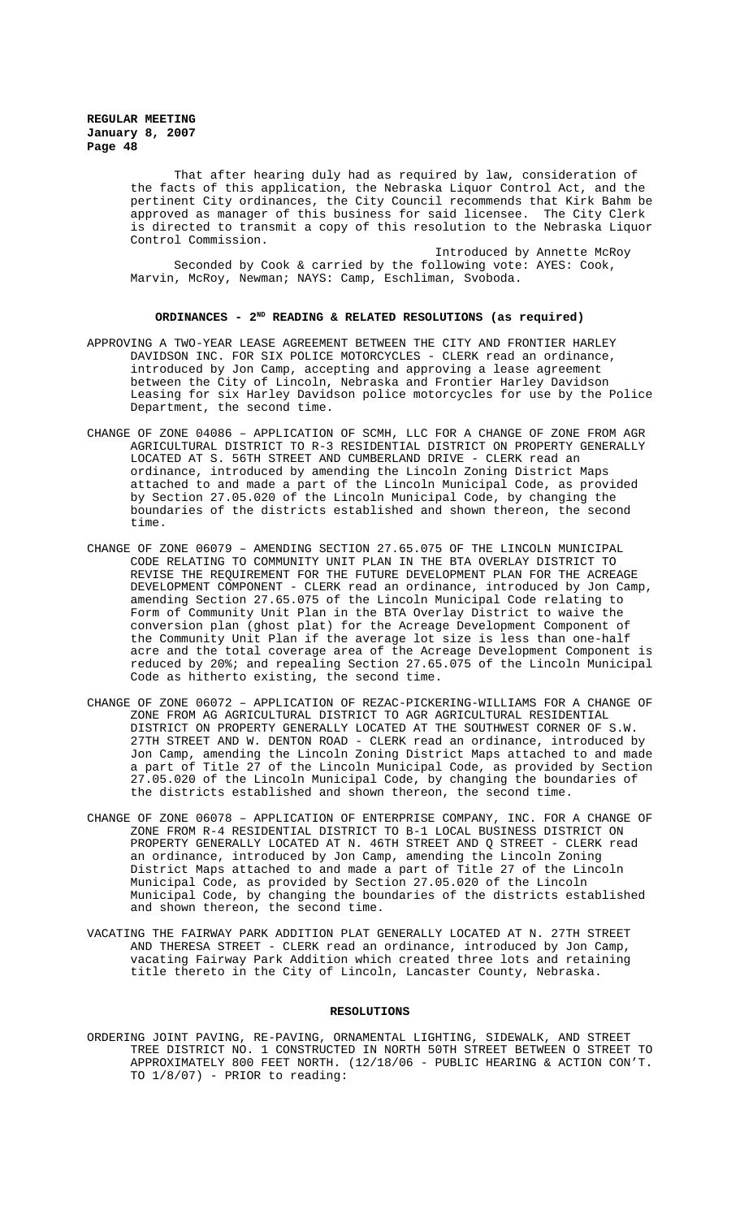> That after hearing duly had as required by law, consideration of the facts of this application, the Nebraska Liquor Control Act, and the pertinent City ordinances, the City Council recommends that Kirk Bahm be approved as manager of this business for said licensee. The City Clerk is directed to transmit a copy of this resolution to the Nebraska Liquor Control Commission.

Introduced by Annette McRoy Seconded by Cook & carried by the following vote: AYES: Cook, Marvin, McRoy, Newman; NAYS: Camp, Eschliman, Svoboda.

## **ORDINANCES - 2ND READING & RELATED RESOLUTIONS (as required)**

- APPROVING A TWO-YEAR LEASE AGREEMENT BETWEEN THE CITY AND FRONTIER HARLEY DAVIDSON INC. FOR SIX POLICE MOTORCYCLES - CLERK read an ordinance, introduced by Jon Camp, accepting and approving a lease agreement between the City of Lincoln, Nebraska and Frontier Harley Davidson Leasing for six Harley Davidson police motorcycles for use by the Police Department, the second time.
- CHANGE OF ZONE 04086 APPLICATION OF SCMH, LLC FOR A CHANGE OF ZONE FROM AGR AGRICULTURAL DISTRICT TO R-3 RESIDENTIAL DISTRICT ON PROPERTY GENERALLY LOCATED AT S. 56TH STREET AND CUMBERLAND DRIVE - CLERK read an ordinance, introduced by amending the Lincoln Zoning District Maps attached to and made a part of the Lincoln Municipal Code, as provided by Section 27.05.020 of the Lincoln Municipal Code, by changing the boundaries of the districts established and shown thereon, the second time.
- CHANGE OF ZONE 06079 AMENDING SECTION 27.65.075 OF THE LINCOLN MUNICIPAL CODE RELATING TO COMMUNITY UNIT PLAN IN THE BTA OVERLAY DISTRICT TO REVISE THE REQUIREMENT FOR THE FUTURE DEVELOPMENT PLAN FOR THE ACREAGE DEVELOPMENT COMPONENT - CLERK read an ordinance, introduced by Jon Camp, amending Section 27.65.075 of the Lincoln Municipal Code relating to Form of Community Unit Plan in the BTA Overlay District to waive the conversion plan (ghost plat) for the Acreage Development Component of the Community Unit Plan if the average lot size is less than one-half acre and the total coverage area of the Acreage Development Component is reduced by 20%; and repealing Section 27.65.075 of the Lincoln Municipal Code as hitherto existing, the second time.
- CHANGE OF ZONE 06072 APPLICATION OF REZAC-PICKERING-WILLIAMS FOR A CHANGE OF ZONE FROM AG AGRICULTURAL DISTRICT TO AGR AGRICULTURAL RESIDENTIAL DISTRICT ON PROPERTY GENERALLY LOCATED AT THE SOUTHWEST CORNER OF S.W. 27TH STREET AND W. DENTON ROAD - CLERK read an ordinance, introduced by Jon Camp, amending the Lincoln Zoning District Maps attached to and made a part of Title 27 of the Lincoln Municipal Code, as provided by Section 27.05.020 of the Lincoln Municipal Code, by changing the boundaries of the districts established and shown thereon, the second time.
- CHANGE OF ZONE 06078 APPLICATION OF ENTERPRISE COMPANY, INC. FOR A CHANGE OF ZONE FROM R-4 RESIDENTIAL DISTRICT TO B-1 LOCAL BUSINESS DISTRICT ON PROPERTY GENERALLY LOCATED AT N. 46TH STREET AND Q STREET - CLERK read an ordinance, introduced by Jon Camp, amending the Lincoln Zoning District Maps attached to and made a part of Title 27 of the Lincoln Municipal Code, as provided by Section 27.05.020 of the Lincoln Municipal Code, by changing the boundaries of the districts established and shown thereon, the second time.
- VACATING THE FAIRWAY PARK ADDITION PLAT GENERALLY LOCATED AT N. 27TH STREET AND THERESA STREET - CLERK read an ordinance, introduced by Jon Camp, vacating Fairway Park Addition which created three lots and retaining title thereto in the City of Lincoln, Lancaster County, Nebraska.

## **RESOLUTIONS**

ORDERING JOINT PAVING, RE-PAVING, ORNAMENTAL LIGHTING, SIDEWALK, AND STREET TREE DISTRICT NO. 1 CONSTRUCTED IN NORTH 50TH STREET BETWEEN O STREET TO APPROXIMATELY 800 FEET NORTH. (12/18/06 - PUBLIC HEARING & ACTION CON'T. TO 1/8/07) - PRIOR to reading: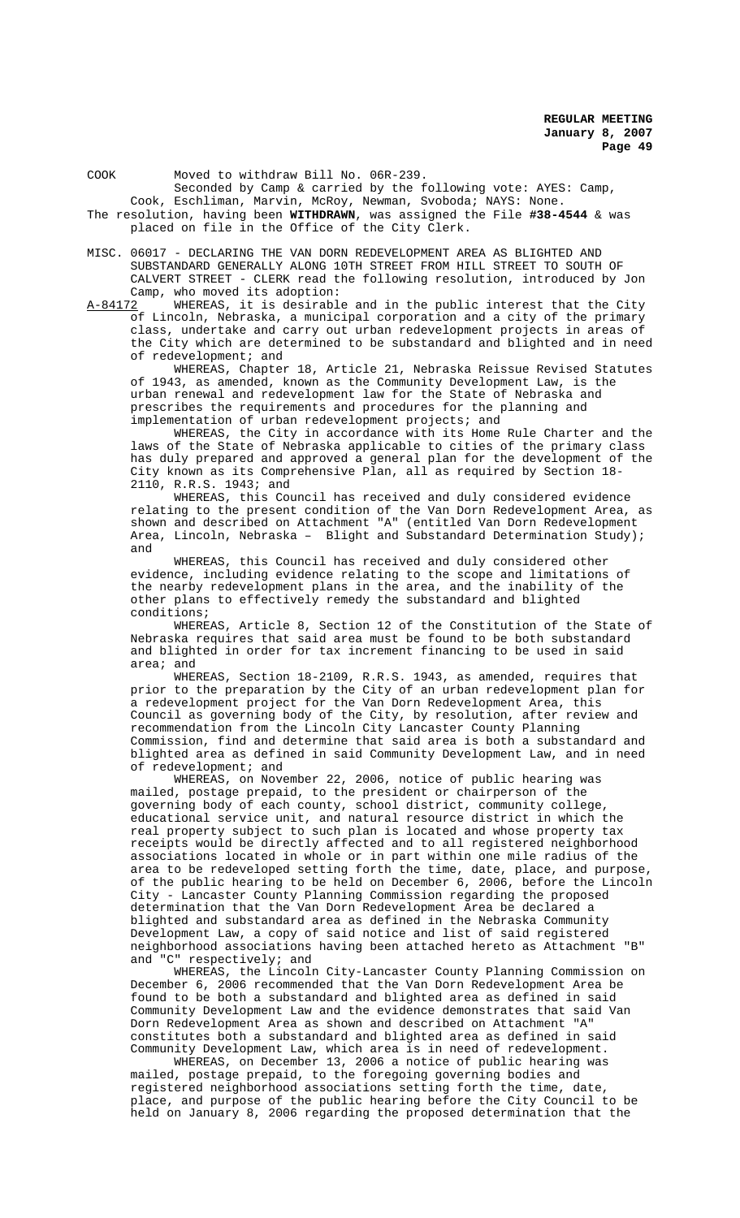COOK Moved to withdraw Bill No. 06R-239. Seconded by Camp & carried by the following vote: AYES: Camp, Cook, Eschliman, Marvin, McRoy, Newman, Svoboda; NAYS: None.

The resolution, having been **WITHDRAWN**, was assigned the File **#38-4544** & was placed on file in the Office of the City Clerk.

MISC. 06017 - DECLARING THE VAN DORN REDEVELOPMENT AREA AS BLIGHTED AND SUBSTANDARD GENERALLY ALONG 10TH STREET FROM HILL STREET TO SOUTH OF CALVERT STREET - CLERK read the following resolution, introduced by Jon Camp, who moved its adoption:<br>A-84172 WHEREAS, it is desirable

WHEREAS, it is desirable and in the public interest that the City of Lincoln, Nebraska, a municipal corporation and a city of the primary class, undertake and carry out urban redevelopment projects in areas of the City which are determined to be substandard and blighted and in need of redevelopment; and

WHEREAS, Chapter 18, Article 21, Nebraska Reissue Revised Statutes of 1943, as amended, known as the Community Development Law, is the urban renewal and redevelopment law for the State of Nebraska and prescribes the requirements and procedures for the planning and implementation of urban redevelopment projects; and

WHEREAS, the City in accordance with its Home Rule Charter and the laws of the State of Nebraska applicable to cities of the primary class has duly prepared and approved a general plan for the development of the City known as its Comprehensive Plan, all as required by Section 18- 2110, R.R.S. 1943; and

WHEREAS, this Council has received and duly considered evidence relating to the present condition of the Van Dorn Redevelopment Area, as shown and described on Attachment "A" (entitled Van Dorn Redevelopment Area, Lincoln, Nebraska – Blight and Substandard Determination Study); and

WHEREAS, this Council has received and duly considered other evidence, including evidence relating to the scope and limitations of the nearby redevelopment plans in the area, and the inability of the other plans to effectively remedy the substandard and blighted conditions;

WHEREAS, Article 8, Section 12 of the Constitution of the State of Nebraska requires that said area must be found to be both substandard and blighted in order for tax increment financing to be used in said area; and

WHEREAS, Section 18-2109, R.R.S. 1943, as amended, requires that prior to the preparation by the City of an urban redevelopment plan for a redevelopment project for the Van Dorn Redevelopment Area, this Council as governing body of the City, by resolution, after review and recommendation from the Lincoln City Lancaster County Planning Commission, find and determine that said area is both a substandard and blighted area as defined in said Community Development Law, and in need of redevelopment; and

WHEREAS, on November 22, 2006, notice of public hearing was mailed, postage prepaid, to the president or chairperson of the governing body of each county, school district, community college, educational service unit, and natural resource district in which the real property subject to such plan is located and whose property tax receipts would be directly affected and to all registered neighborhood associations located in whole or in part within one mile radius of the area to be redeveloped setting forth the time, date, place, and purpose, of the public hearing to be held on December 6, 2006, before the Lincoln City - Lancaster County Planning Commission regarding the proposed determination that the Van Dorn Redevelopment Area be declared a blighted and substandard area as defined in the Nebraska Community Development Law, a copy of said notice and list of said registered neighborhood associations having been attached hereto as Attachment "B" and "C" respectively; and

WHEREAS, the Lincoln City-Lancaster County Planning Commission on December 6, 2006 recommended that the Van Dorn Redevelopment Area be found to be both a substandard and blighted area as defined in said Community Development Law and the evidence demonstrates that said Van Dorn Redevelopment Area as shown and described on Attachment "A" constitutes both a substandard and blighted area as defined in said Community Development Law, which area is in need of redevelopment.

WHEREAS, on December 13, 2006 a notice of public hearing was mailed, postage prepaid, to the foregoing governing bodies and registered neighborhood associations setting forth the time, date, place, and purpose of the public hearing before the City Council to be held on January 8, 2006 regarding the proposed determination that the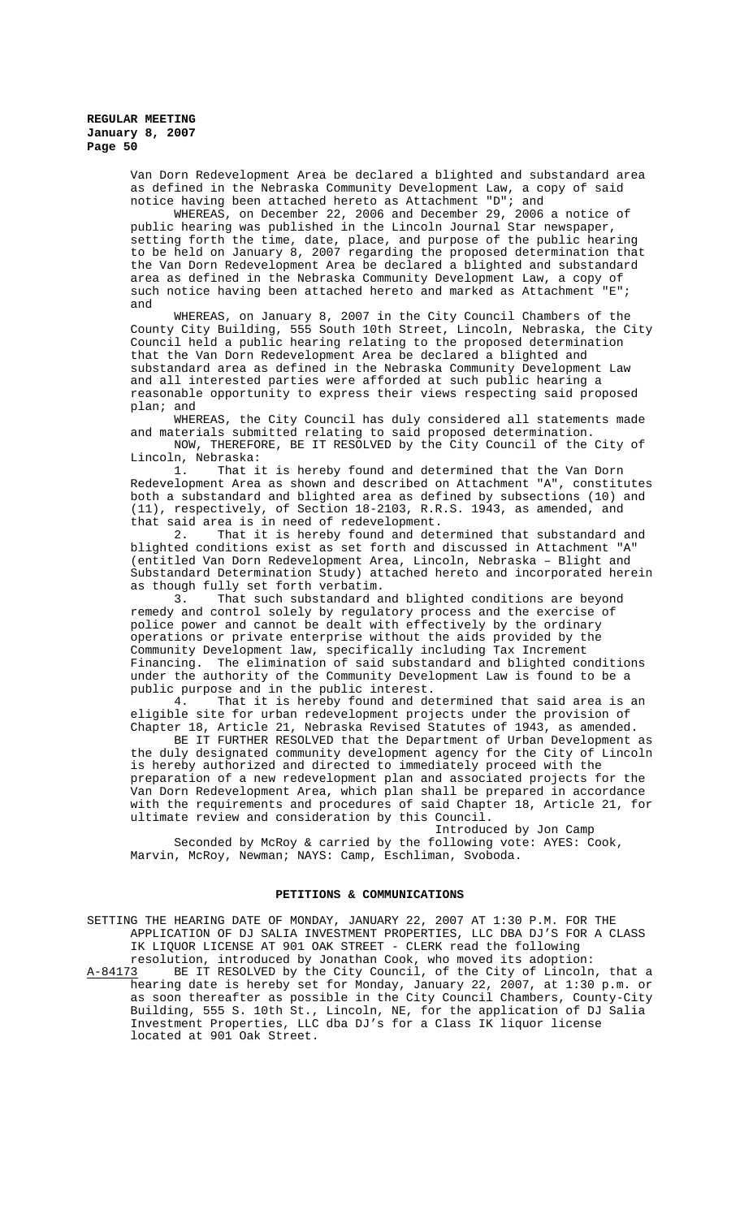Van Dorn Redevelopment Area be declared a blighted and substandard area as defined in the Nebraska Community Development Law, a copy of said notice having been attached hereto as Attachment "D"; and

WHEREAS, on December 22, 2006 and December 29, 2006 a notice of public hearing was published in the Lincoln Journal Star newspaper, setting forth the time, date, place, and purpose of the public hearing to be held on January 8, 2007 regarding the proposed determination that the Van Dorn Redevelopment Area be declared a blighted and substandard area as defined in the Nebraska Community Development Law, a copy of such notice having been attached hereto and marked as Attachment "E"; and

WHEREAS, on January 8, 2007 in the City Council Chambers of the County City Building, 555 South 10th Street, Lincoln, Nebraska, the City Council held a public hearing relating to the proposed determination that the Van Dorn Redevelopment Area be declared a blighted and substandard area as defined in the Nebraska Community Development Law and all interested parties were afforded at such public hearing a reasonable opportunity to express their views respecting said proposed plan; and

WHEREAS, the City Council has duly considered all statements made and materials submitted relating to said proposed determination.

NOW, THEREFORE, BE IT RESOLVED by the City Council of the City of Lincoln, Nebraska:

1. That it is hereby found and determined that the Van Dorn Redevelopment Area as shown and described on Attachment "A", constitutes both a substandard and blighted area as defined by subsections (10) and (11), respectively, of Section 18-2103, R.R.S. 1943, as amended, and that said area is in need of redevelopment.<br>2. That it is hereby found and det

That it is hereby found and determined that substandard and blighted conditions exist as set forth and discussed in Attachment "A" (entitled Van Dorn Redevelopment Area, Lincoln, Nebraska – Blight and Substandard Determination Study) attached hereto and incorporated herein as though fully set forth verbatim.<br>3 That such substandard a

That such substandard and blighted conditions are beyond remedy and control solely by regulatory process and the exercise of police power and cannot be dealt with effectively by the ordinary operations or private enterprise without the aids provided by the Community Development law, specifically including Tax Increment Financing. The elimination of said substandard and blighted conditions under the authority of the Community Development Law is found to be a

public purpose and in the public interest.<br>4. That it is hereby found and de That it is hereby found and determined that said area is an eligible site for urban redevelopment projects under the provision of Chapter 18, Article 21, Nebraska Revised Statutes of 1943, as amended.

BE IT FURTHER RESOLVED that the Department of Urban Development as the duly designated community development agency for the City of Lincoln is hereby authorized and directed to immediately proceed with the preparation of a new redevelopment plan and associated projects for the Van Dorn Redevelopment Area, which plan shall be prepared in accordance with the requirements and procedures of said Chapter 18, Article 21, for ultimate review and consideration by this Council.

Introduced by Jon Camp Seconded by McRoy & carried by the following vote: AYES: Cook, Marvin, McRoy, Newman; NAYS: Camp, Eschliman, Svoboda.

## **PETITIONS & COMMUNICATIONS**

SETTING THE HEARING DATE OF MONDAY, JANUARY 22, 2007 AT 1:30 P.M. FOR THE APPLICATION OF DJ SALIA INVESTMENT PROPERTIES, LLC DBA DJ'S FOR A CLASS IK LIQUOR LICENSE AT 901 OAK STREET - CLERK read the following resolution, introduced by Jonathan Cook, who moved its adoption:

A-84173 BE IT RESOLVED by the City Council, of the City of Lincoln, that a hearing date is hereby set for Monday, January 22, 2007, at 1:30 p.m. or as soon thereafter as possible in the City Council Chambers, County-City Building, 555 S. 10th St., Lincoln, NE, for the application of DJ Salia Investment Properties, LLC dba DJ's for a Class IK liquor license located at 901 Oak Street.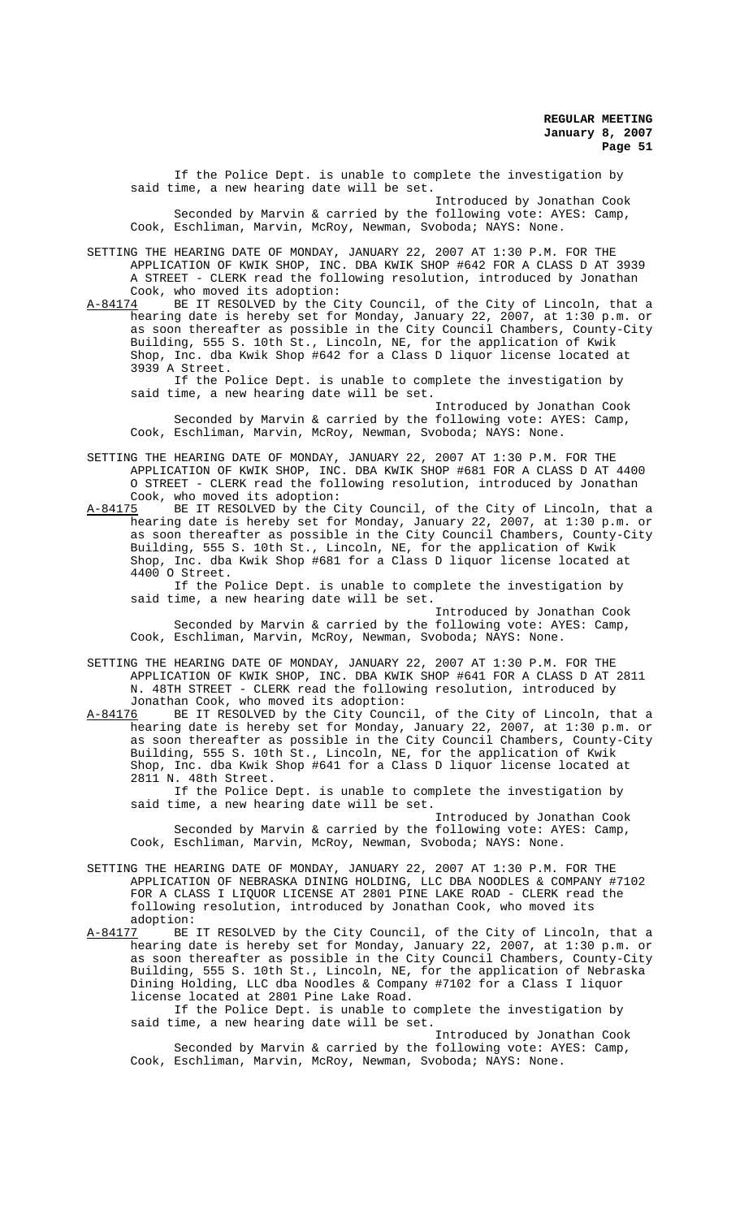If the Police Dept. is unable to complete the investigation by said time, a new hearing date will be set.

Introduced by Jonathan Cook Seconded by Marvin & carried by the following vote: AYES: Camp, Cook, Eschliman, Marvin, McRoy, Newman, Svoboda; NAYS: None.

SETTING THE HEARING DATE OF MONDAY, JANUARY 22, 2007 AT 1:30 P.M. FOR THE APPLICATION OF KWIK SHOP, INC. DBA KWIK SHOP #642 FOR A CLASS D AT 3939 A STREET - CLERK read the following resolution, introduced by Jonathan Cook, who moved its adoption:

A-84174 BE IT RESOLVED by the City Council, of the City of Lincoln, that a hearing date is hereby set for Monday, January 22, 2007, at 1:30 p.m. or as soon thereafter as possible in the City Council Chambers, County-City Building, 555 S. 10th St., Lincoln, NE, for the application of Kwik Shop, Inc. dba Kwik Shop #642 for a Class D liquor license located at 3939 A Street.

If the Police Dept. is unable to complete the investigation by said time, a new hearing date will be set.

Introduced by Jonathan Cook Seconded by Marvin & carried by the following vote: AYES: Camp, Cook, Eschliman, Marvin, McRoy, Newman, Svoboda; NAYS: None.

SETTING THE HEARING DATE OF MONDAY, JANUARY 22, 2007 AT 1:30 P.M. FOR THE APPLICATION OF KWIK SHOP, INC. DBA KWIK SHOP #681 FOR A CLASS D AT 4400 O STREET - CLERK read the following resolution, introduced by Jonathan Cook, who moved its adoption:

A-84175 BE IT RESOLVED by the City Council, of the City of Lincoln, that a hearing date is hereby set for Monday, January 22, 2007, at 1:30 p.m. or as soon thereafter as possible in the City Council Chambers, County-City Building, 555 S. 10th St., Lincoln, NE, for the application of Kwik Shop, Inc. dba Kwik Shop #681 for a Class D liquor license located at 4400 O Street.

If the Police Dept. is unable to complete the investigation by said time, a new hearing date will be set.

Introduced by Jonathan Cook Seconded by Marvin & carried by the following vote: AYES: Camp, Cook, Eschliman, Marvin, McRoy, Newman, Svoboda; NAYS: None.

SETTING THE HEARING DATE OF MONDAY, JANUARY 22, 2007 AT 1:30 P.M. FOR THE APPLICATION OF KWIK SHOP, INC. DBA KWIK SHOP #641 FOR A CLASS D AT 2811 N. 48TH STREET - CLERK read the following resolution, introduced by Jonathan Cook, who moved its adoption:<br>A-84176 BE IT RESOLVED by the City Counc

BE IT RESOLVED by the City Council, of the City of Lincoln, that a hearing date is hereby set for Monday, January 22, 2007, at 1:30 p.m. or as soon thereafter as possible in the City Council Chambers, County-City Building, 555 S. 10th St., Lincoln, NE, for the application of Kwik Shop, Inc. dba Kwik Shop #641 for a Class D liquor license located at 2811 N. 48th Street.

If the Police Dept. is unable to complete the investigation by said time, a new hearing date will be set.

Introduced by Jonathan Cook Seconded by Marvin & carried by the following vote: AYES: Camp, Cook, Eschliman, Marvin, McRoy, Newman, Svoboda; NAYS: None.

- SETTING THE HEARING DATE OF MONDAY, JANUARY 22, 2007 AT 1:30 P.M. FOR THE APPLICATION OF NEBRASKA DINING HOLDING, LLC DBA NOODLES & COMPANY #7102 FOR A CLASS I LIQUOR LICENSE AT 2801 PINE LAKE ROAD - CLERK read the following resolution, introduced by Jonathan Cook, who moved its
- adoption:<br>A-84177 BE BE IT RESOLVED by the City Council, of the City of Lincoln, that a hearing date is hereby set for Monday, January 22, 2007, at 1:30 p.m. or as soon thereafter as possible in the City Council Chambers, County-City Building, 555 S. 10th St., Lincoln, NE, for the application of Nebraska Dining Holding, LLC dba Noodles & Company #7102 for a Class I liquor license located at 2801 Pine Lake Road.

If the Police Dept. is unable to complete the investigation by said time, a new hearing date will be set.

Introduced by Jonathan Cook Seconded by Marvin & carried by the following vote: AYES: Camp, Cook, Eschliman, Marvin, McRoy, Newman, Svoboda; NAYS: None.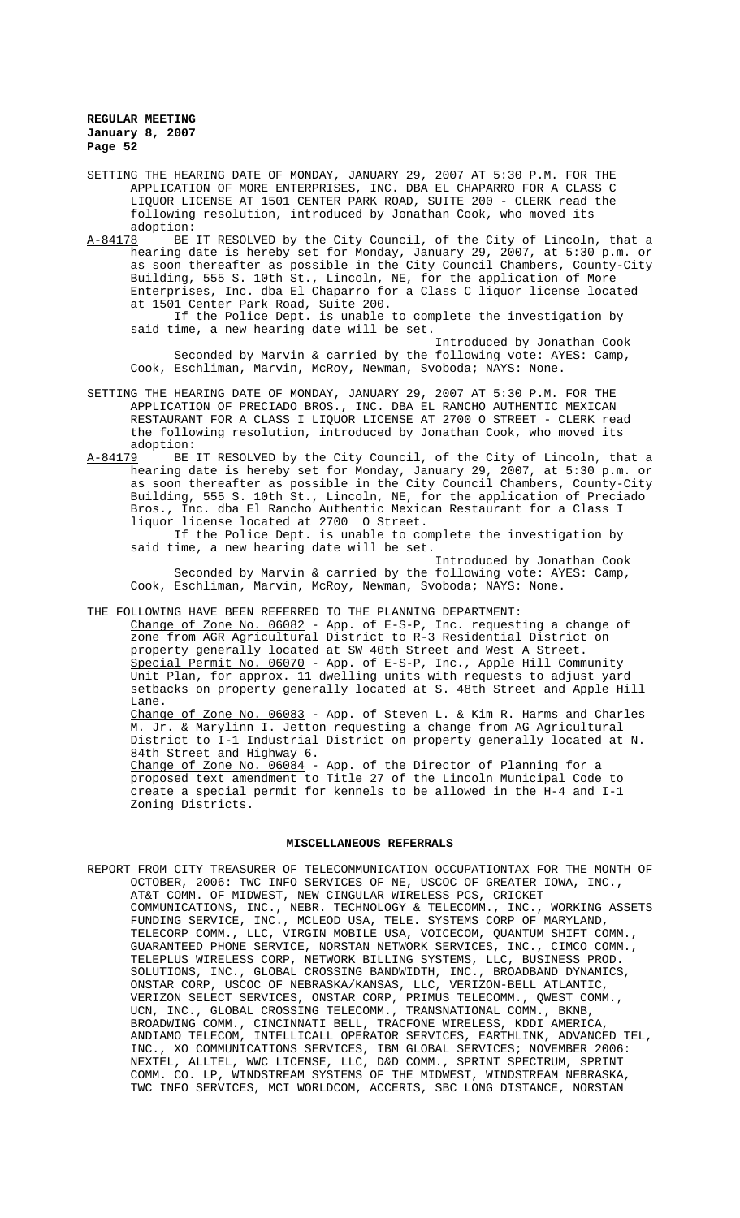- SETTING THE HEARING DATE OF MONDAY, JANUARY 29, 2007 AT 5:30 P.M. FOR THE APPLICATION OF MORE ENTERPRISES, INC. DBA EL CHAPARRO FOR A CLASS C LIQUOR LICENSE AT 1501 CENTER PARK ROAD, SUITE 200 - CLERK read the following resolution, introduced by Jonathan Cook, who moved its adoption:<br>A-84178 BE
- BE IT RESOLVED by the City Council, of the City of Lincoln, that a hearing date is hereby set for Monday, January 29, 2007, at 5:30 p.m. or as soon thereafter as possible in the City Council Chambers, County-City Building, 555 S. 10th St., Lincoln, NE, for the application of More Enterprises, Inc. dba El Chaparro for a Class C liquor license located at 1501 Center Park Road, Suite 200.

If the Police Dept. is unable to complete the investigation by said time, a new hearing date will be set.

Introduced by Jonathan Cook Seconded by Marvin & carried by the following vote: AYES: Camp, Cook, Eschliman, Marvin, McRoy, Newman, Svoboda; NAYS: None.

- SETTING THE HEARING DATE OF MONDAY, JANUARY 29, 2007 AT 5:30 P.M. FOR THE APPLICATION OF PRECIADO BROS., INC. DBA EL RANCHO AUTHENTIC MEXICAN RESTAURANT FOR A CLASS I LIQUOR LICENSE AT 2700 O STREET - CLERK read the following resolution, introduced by Jonathan Cook, who moved its adoption:
- A-84179 BE IT RESOLVED by the City Council, of the City of Lincoln, that a hearing date is hereby set for Monday, January 29, 2007, at 5:30 p.m. or as soon thereafter as possible in the City Council Chambers, County-City Building, 555 S. 10th St., Lincoln, NE, for the application of Preciado Bros., Inc. dba El Rancho Authentic Mexican Restaurant for a Class I liquor license located at 2700 O Street.

If the Police Dept. is unable to complete the investigation by said time, a new hearing date will be set.

Introduced by Jonathan Cook Seconded by Marvin & carried by the following vote: AYES: Camp, Cook, Eschliman, Marvin, McRoy, Newman, Svoboda; NAYS: None.

THE FOLLOWING HAVE BEEN REFERRED TO THE PLANNING DEPARTMENT:

Change of Zone No. 06082 - App. of E-S-P, Inc. requesting a change of zone from AGR Agricultural District to R-3 Residential District on property generally located at SW 40th Street and West A Street. Special Permit No. 06070 - App. of E-S-P, Inc., Apple Hill Community Unit Plan, for approx. 11 dwelling units with requests to adjust yard setbacks on property generally located at S. 48th Street and Apple Hill Lane.

Change of Zone No. 06083 - App. of Steven L. & Kim R. Harms and Charles M. Jr. & Marylinn I. Jetton requesting a change from AG Agricultural District to I-1 Industrial District on property generally located at N. 84th Street and Highway 6.

Change of Zone No. 06084 - App. of the Director of Planning for a proposed text amendment to Title 27 of the Lincoln Municipal Code to create a special permit for kennels to be allowed in the H-4 and I-1 Zoning Districts.

### **MISCELLANEOUS REFERRALS**

REPORT FROM CITY TREASURER OF TELECOMMUNICATION OCCUPATIONTAX FOR THE MONTH OF OCTOBER, 2006: TWC INFO SERVICES OF NE, USCOC OF GREATER IOWA, INC., AT&T COMM. OF MIDWEST, NEW CINGULAR WIRELESS PCS, CRICKET COMMUNICATIONS, INC., NEBR. TECHNOLOGY & TELECOMM., INC., WORKING ASSETS FUNDING SERVICE, INC., MCLEOD USA, TELE. SYSTEMS CORP OF MARYLAND, TELECORP COMM., LLC, VIRGIN MOBILE USA, VOICECOM, QUANTUM SHIFT COMM., GUARANTEED PHONE SERVICE, NORSTAN NETWORK SERVICES, INC., CIMCO COMM., TELEPLUS WIRELESS CORP, NETWORK BILLING SYSTEMS, LLC, BUSINESS PROD. SOLUTIONS, INC., GLOBAL CROSSING BANDWIDTH, INC., BROADBAND DYNAMICS, ONSTAR CORP, USCOC OF NEBRASKA/KANSAS, LLC, VERIZON-BELL ATLANTIC, VERIZON SELECT SERVICES, ONSTAR CORP, PRIMUS TELECOMM., QWEST COMM., UCN, INC., GLOBAL CROSSING TELECOMM., TRANSNATIONAL COMM., BKNB, BROADWING COMM., CINCINNATI BELL, TRACFONE WIRELESS, KDDI AMERICA, ANDIAMO TELECOM, INTELLICALL OPERATOR SERVICES, EARTHLINK, ADVANCED TEL, INC., XO COMMUNICATIONS SERVICES, IBM GLOBAL SERVICES; NOVEMBER 2006: NEXTEL, ALLTEL, WWC LICENSE, LLC, D&D COMM., SPRINT SPECTRUM, SPRINT COMM. CO. LP, WINDSTREAM SYSTEMS OF THE MIDWEST, WINDSTREAM NEBRASKA, TWC INFO SERVICES, MCI WORLDCOM, ACCERIS, SBC LONG DISTANCE, NORSTAN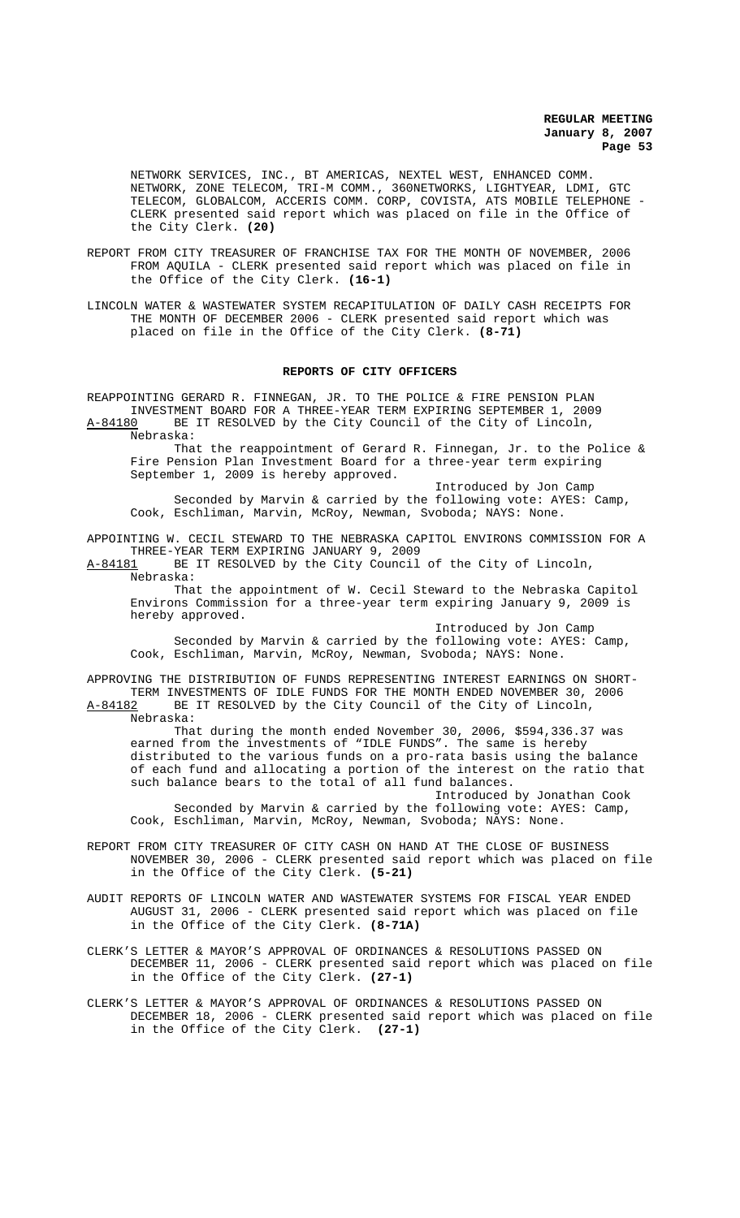NETWORK SERVICES, INC., BT AMERICAS, NEXTEL WEST, ENHANCED COMM. NETWORK, ZONE TELECOM, TRI-M COMM., 360NETWORKS, LIGHTYEAR, LDMI, GTC TELECOM, GLOBALCOM, ACCERIS COMM. CORP, COVISTA, ATS MOBILE TELEPHONE - CLERK presented said report which was placed on file in the Office of the City Clerk. **(20)**

REPORT FROM CITY TREASURER OF FRANCHISE TAX FOR THE MONTH OF NOVEMBER, 2006 FROM AQUILA - CLERK presented said report which was placed on file in the Office of the City Clerk. **(16-1)**

LINCOLN WATER & WASTEWATER SYSTEM RECAPITULATION OF DAILY CASH RECEIPTS FOR THE MONTH OF DECEMBER 2006 - CLERK presented said report which was placed on file in the Office of the City Clerk. **(8-71)**

### **REPORTS OF CITY OFFICERS**

REAPPOINTING GERARD R. FINNEGAN, JR. TO THE POLICE & FIRE PENSION PLAN INVESTMENT BOARD FOR A THREE-YEAR TERM EXPIRING SEPTEMBER 1, 2009<br>A-84180 BE IT RESOLVED by the City Council of the City of Lincoln, BE IT RESOLVED by the City Council of the City of Lincoln, Nebraska:

That the reappointment of Gerard R. Finnegan, Jr. to the Police & Fire Pension Plan Investment Board for a three-year term expiring September 1, 2009 is hereby approved.

Introduced by Jon Camp Seconded by Marvin & carried by the following vote: AYES: Camp, Cook, Eschliman, Marvin, McRoy, Newman, Svoboda; NAYS: None.

APPOINTING W. CECIL STEWARD TO THE NEBRASKA CAPITOL ENVIRONS COMMISSION FOR A THREE-YEAR TERM EXPIRING JANUARY 9, 2009<br>A-84181 BE IT RESOLVED by the City Council

BE IT RESOLVED by the City Council of the City of Lincoln, Nebraska:

That the appointment of W. Cecil Steward to the Nebraska Capitol Environs Commission for a three-year term expiring January 9, 2009 is hereby approved.

Introduced by Jon Camp Seconded by Marvin & carried by the following vote: AYES: Camp, Cook, Eschliman, Marvin, McRoy, Newman, Svoboda; NAYS: None.

APPROVING THE DISTRIBUTION OF FUNDS REPRESENTING INTEREST EARNINGS ON SHORT-TERM INVESTMENTS OF IDLE FUNDS FOR THE MONTH ENDED NOVEMBER 30, 2006<br>A-84182 BE IT RESOLVED by the City Council of the City of Lincoln, BE IT RESOLVED by the City Council of the City of Lincoln,

Nebraska:

That during the month ended November 30, 2006, \$594,336.37 was earned from the investments of "IDLE FUNDS". The same is hereby distributed to the various funds on a pro-rata basis using the balance of each fund and allocating a portion of the interest on the ratio that such balance bears to the total of all fund balances.

Introduced by Jonathan Cook Seconded by Marvin & carried by the following vote: AYES: Camp, Cook, Eschliman, Marvin, McRoy, Newman, Svoboda; NAYS: None.

- REPORT FROM CITY TREASURER OF CITY CASH ON HAND AT THE CLOSE OF BUSINESS NOVEMBER 30, 2006 - CLERK presented said report which was placed on file in the Office of the City Clerk. **(5-21)**
- AUDIT REPORTS OF LINCOLN WATER AND WASTEWATER SYSTEMS FOR FISCAL YEAR ENDED AUGUST 31, 2006 - CLERK presented said report which was placed on file in the Office of the City Clerk. **(8-71A)**
- CLERK'S LETTER & MAYOR'S APPROVAL OF ORDINANCES & RESOLUTIONS PASSED ON DECEMBER 11, 2006 - CLERK presented said report which was placed on file in the Office of the City Clerk. **(27-1)**
- CLERK'S LETTER & MAYOR'S APPROVAL OF ORDINANCES & RESOLUTIONS PASSED ON DECEMBER 18, 2006 - CLERK presented said report which was placed on file in the Office of the City Clerk. **(27-1)**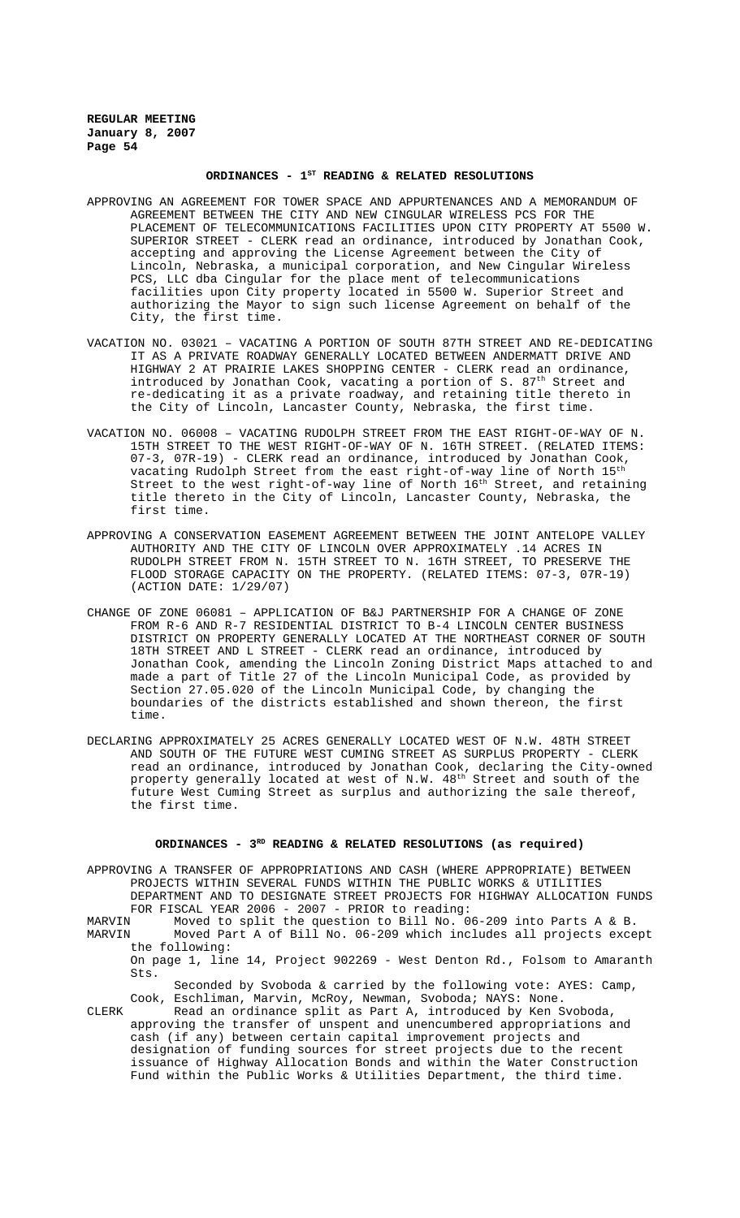# ORDINANCES - 1<sup>st</sup> READING & RELATED RESOLUTIONS

- APPROVING AN AGREEMENT FOR TOWER SPACE AND APPURTENANCES AND A MEMORANDUM OF AGREEMENT BETWEEN THE CITY AND NEW CINGULAR WIRELESS PCS FOR THE PLACEMENT OF TELECOMMUNICATIONS FACILITIES UPON CITY PROPERTY AT 5500 W. SUPERIOR STREET - CLERK read an ordinance, introduced by Jonathan Cook, accepting and approving the License Agreement between the City of Lincoln, Nebraska, a municipal corporation, and New Cingular Wireless PCS, LLC dba Cingular for the place ment of telecommunications facilities upon City property located in 5500 W. Superior Street and authorizing the Mayor to sign such license Agreement on behalf of the City, the first time.
- VACATION NO. 03021 VACATING A PORTION OF SOUTH 87TH STREET AND RE-DEDICATING IT AS A PRIVATE ROADWAY GENERALLY LOCATED BETWEEN ANDERMATT DRIVE AND HIGHWAY 2 AT PRAIRIE LAKES SHOPPING CENTER - CLERK read an ordinance, introduced by Jonathan Cook, vacating a portion of S. 87<sup>th</sup> Street and re-dedicating it as a private roadway, and retaining title thereto in the City of Lincoln, Lancaster County, Nebraska, the first time.
- VACATION NO. 06008 VACATING RUDOLPH STREET FROM THE EAST RIGHT-OF-WAY OF N. 15TH STREET TO THE WEST RIGHT-OF-WAY OF N. 16TH STREET. (RELATED ITEMS: 07-3, 07R-19) - CLERK read an ordinance, introduced by Jonathan Cook, vacating Rudolph Street from the east right-of-way line of North  $15^{\rm th}$ Street to the west right-of-way line of North  $16^{\text{th}}$  Street, and retaining title thereto in the City of Lincoln, Lancaster County, Nebraska, the first time.
- APPROVING A CONSERVATION EASEMENT AGREEMENT BETWEEN THE JOINT ANTELOPE VALLEY AUTHORITY AND THE CITY OF LINCOLN OVER APPROXIMATELY .14 ACRES IN RUDOLPH STREET FROM N. 15TH STREET TO N. 16TH STREET, TO PRESERVE THE FLOOD STORAGE CAPACITY ON THE PROPERTY. (RELATED ITEMS: 07-3, 07R-19) (ACTION DATE: 1/29/07)
- CHANGE OF ZONE 06081 APPLICATION OF B&J PARTNERSHIP FOR A CHANGE OF ZONE FROM R-6 AND R-7 RESIDENTIAL DISTRICT TO B-4 LINCOLN CENTER BUSINESS DISTRICT ON PROPERTY GENERALLY LOCATED AT THE NORTHEAST CORNER OF SOUTH 18TH STREET AND L STREET - CLERK read an ordinance, introduced by Jonathan Cook, amending the Lincoln Zoning District Maps attached to and made a part of Title 27 of the Lincoln Municipal Code, as provided by Section 27.05.020 of the Lincoln Municipal Code, by changing the boundaries of the districts established and shown thereon, the first time.
- DECLARING APPROXIMATELY 25 ACRES GENERALLY LOCATED WEST OF N.W. 48TH STREET AND SOUTH OF THE FUTURE WEST CUMING STREET AS SURPLUS PROPERTY - CLERK read an ordinance, introduced by Jonathan Cook, declaring the City-owned property generally located at west of N.W.  $48^{\text{th}}$  Street and south of the future West Cuming Street as surplus and authorizing the sale thereof, the first time.

# ORDINANCES - 3<sup>RD</sup> READING & RELATED RESOLUTIONS (as required)

APPROVING A TRANSFER OF APPROPRIATIONS AND CASH (WHERE APPROPRIATE) BETWEEN PROJECTS WITHIN SEVERAL FUNDS WITHIN THE PUBLIC WORKS & UTILITIES DEPARTMENT AND TO DESIGNATE STREET PROJECTS FOR HIGHWAY ALLOCATION FUNDS FOR FISCAL YEAR 2006 - 2007 - PRIOR to reading:<br>MARVIN Moved to split the question to Bill No. 0

MARVIN Moved to split the question to Bill No. 06-209 into Parts A & B.<br>MARVIN Moved Part A of Bill No. 06-209 which includes all projects exce Moved Part A of Bill No. 06-209 which includes all projects except the following:

On page 1, line 14, Project 902269 - West Denton Rd., Folsom to Amaranth Sts.

Seconded by Svoboda & carried by the following vote: AYES: Camp, Cook, Eschliman, Marvin, McRoy, Newman, Svoboda; NAYS: None. CLERK Read an ordinance split as Part A, introduced by Ken Svoboda,

approving the transfer of unspent and unencumbered appropriations and cash (if any) between certain capital improvement projects and designation of funding sources for street projects due to the recent issuance of Highway Allocation Bonds and within the Water Construction Fund within the Public Works & Utilities Department, the third time.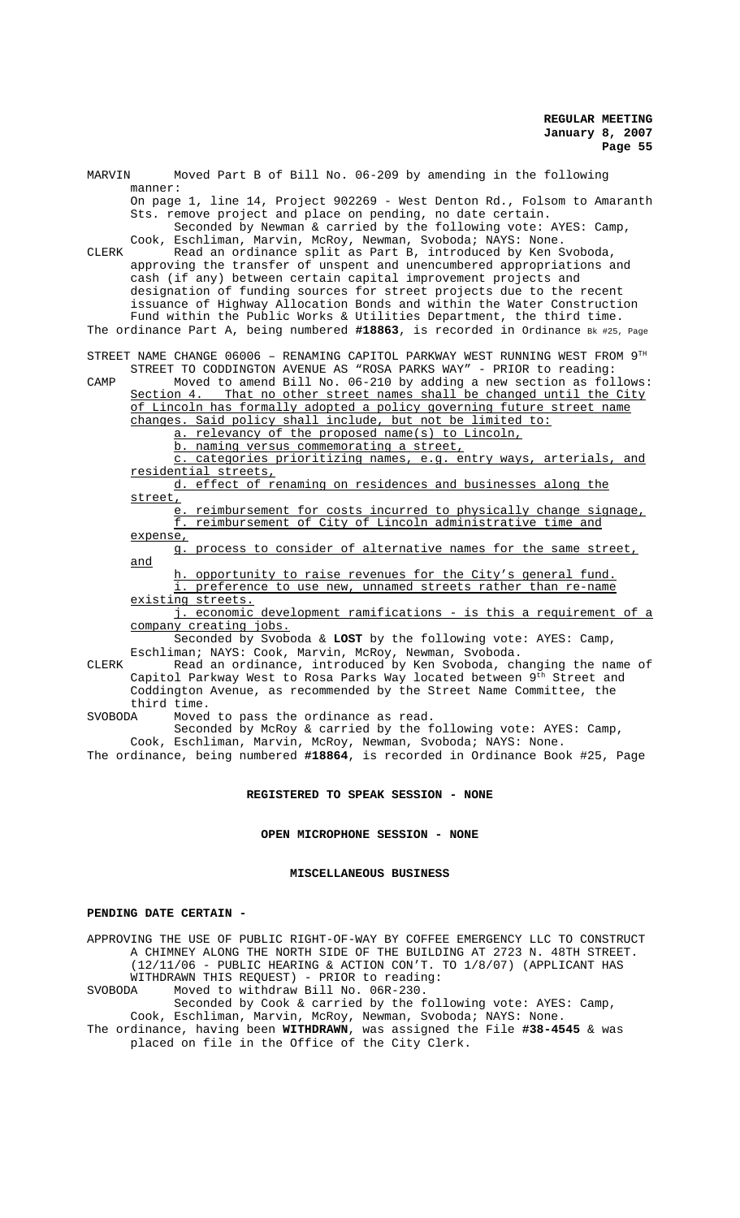| MARVIN                             | Moved Part B of Bill No. 06-209 by amending in the following                                                                                                                                                                                                                                                                                                                                                                                                                                                                                                                                                                                                                                                                                                                                                     |
|------------------------------------|------------------------------------------------------------------------------------------------------------------------------------------------------------------------------------------------------------------------------------------------------------------------------------------------------------------------------------------------------------------------------------------------------------------------------------------------------------------------------------------------------------------------------------------------------------------------------------------------------------------------------------------------------------------------------------------------------------------------------------------------------------------------------------------------------------------|
| CLERK                              | manner:<br>On page 1, line 14, Project 902269 - West Denton Rd., Folsom to Amaranth<br>Sts. remove project and place on pending, no date certain.<br>Seconded by Newman & carried by the following vote: AYES: Camp,<br>Cook, Eschliman, Marvin, McRoy, Newman, Svoboda; NAYS: None.<br>Read an ordinance split as Part B, introduced by Ken Svoboda,<br>approving the transfer of unspent and unencumbered appropriations and<br>cash (if any) between certain capital improvement projects and<br>designation of funding sources for street projects due to the recent<br>issuance of Highway Allocation Bonds and within the Water Construction<br>Fund within the Public Works & Utilities Department, the third time.<br>The ordinance Part A, being numbered #18863, is recorded in Ordinance Bk #25, Page |
|                                    | STREET NAME CHANGE 06006 - RENAMING CAPITOL PARKWAY WEST RUNNING WEST FROM $9^{\text{TH}}$                                                                                                                                                                                                                                                                                                                                                                                                                                                                                                                                                                                                                                                                                                                       |
| CAMP                               | STREET TO CODDINGTON AVENUE AS "ROSA PARKS WAY" - PRIOR to reading:<br>Moved to amend Bill No. 06-210 by adding a new section as follows:                                                                                                                                                                                                                                                                                                                                                                                                                                                                                                                                                                                                                                                                        |
|                                    | Section 4. That no other street names shall be changed until the City<br>of Lincoln has formally adopted a policy governing future street name                                                                                                                                                                                                                                                                                                                                                                                                                                                                                                                                                                                                                                                                   |
|                                    | changes. Said policy shall include, but not be limited to:                                                                                                                                                                                                                                                                                                                                                                                                                                                                                                                                                                                                                                                                                                                                                       |
|                                    | a. relevancy of the proposed name(s) to Lincoln,                                                                                                                                                                                                                                                                                                                                                                                                                                                                                                                                                                                                                                                                                                                                                                 |
|                                    | b. naming versus commemorating a street,                                                                                                                                                                                                                                                                                                                                                                                                                                                                                                                                                                                                                                                                                                                                                                         |
|                                    | c. categories prioritizing names, e.g. entry ways, arterials, and                                                                                                                                                                                                                                                                                                                                                                                                                                                                                                                                                                                                                                                                                                                                                |
|                                    | residential streets,                                                                                                                                                                                                                                                                                                                                                                                                                                                                                                                                                                                                                                                                                                                                                                                             |
|                                    | d. effect of renaming on residences and businesses along the                                                                                                                                                                                                                                                                                                                                                                                                                                                                                                                                                                                                                                                                                                                                                     |
|                                    | street,<br>e. reimbursement for costs incurred to physically change signage,                                                                                                                                                                                                                                                                                                                                                                                                                                                                                                                                                                                                                                                                                                                                     |
|                                    | f. reimbursement of City of Lincoln administrative time and                                                                                                                                                                                                                                                                                                                                                                                                                                                                                                                                                                                                                                                                                                                                                      |
|                                    | expense,                                                                                                                                                                                                                                                                                                                                                                                                                                                                                                                                                                                                                                                                                                                                                                                                         |
|                                    | g. process to consider of alternative names for the same street,                                                                                                                                                                                                                                                                                                                                                                                                                                                                                                                                                                                                                                                                                                                                                 |
|                                    | and                                                                                                                                                                                                                                                                                                                                                                                                                                                                                                                                                                                                                                                                                                                                                                                                              |
|                                    | h. opportunity to raise revenues for the City's general fund.                                                                                                                                                                                                                                                                                                                                                                                                                                                                                                                                                                                                                                                                                                                                                    |
|                                    | i. preference to use new, unnamed streets rather than re-name                                                                                                                                                                                                                                                                                                                                                                                                                                                                                                                                                                                                                                                                                                                                                    |
|                                    | existing streets.                                                                                                                                                                                                                                                                                                                                                                                                                                                                                                                                                                                                                                                                                                                                                                                                |
|                                    | j. economic development ramifications - is this a requirement of a                                                                                                                                                                                                                                                                                                                                                                                                                                                                                                                                                                                                                                                                                                                                               |
|                                    | company creating jobs.<br>Seconded by Svoboda & LOST by the following vote: AYES: Camp,                                                                                                                                                                                                                                                                                                                                                                                                                                                                                                                                                                                                                                                                                                                          |
|                                    | Eschliman; NAYS: Cook, Marvin, McRoy, Newman, Svoboda.                                                                                                                                                                                                                                                                                                                                                                                                                                                                                                                                                                                                                                                                                                                                                           |
| CLERK                              | Read an ordinance, introduced by Ken Svoboda, changing the name of                                                                                                                                                                                                                                                                                                                                                                                                                                                                                                                                                                                                                                                                                                                                               |
|                                    | Capitol Parkway West to Rosa Parks Way located between 9th Street and                                                                                                                                                                                                                                                                                                                                                                                                                                                                                                                                                                                                                                                                                                                                            |
|                                    | Coddington Avenue, as recommended by the Street Name Committee, the                                                                                                                                                                                                                                                                                                                                                                                                                                                                                                                                                                                                                                                                                                                                              |
|                                    | third time.                                                                                                                                                                                                                                                                                                                                                                                                                                                                                                                                                                                                                                                                                                                                                                                                      |
| SVOBODA                            | Moved to pass the ordinance as read.<br>Seconded by McRoy & carried by the following vote: AYES: Camp,                                                                                                                                                                                                                                                                                                                                                                                                                                                                                                                                                                                                                                                                                                           |
|                                    | Cook, Eschliman, Marvin, McRoy, Newman, Svoboda; NAYS: None.                                                                                                                                                                                                                                                                                                                                                                                                                                                                                                                                                                                                                                                                                                                                                     |
|                                    | The ordinance, being numbered #18864, is recorded in Ordinance Book #25, Page                                                                                                                                                                                                                                                                                                                                                                                                                                                                                                                                                                                                                                                                                                                                    |
|                                    |                                                                                                                                                                                                                                                                                                                                                                                                                                                                                                                                                                                                                                                                                                                                                                                                                  |
| REGISTERED TO SPEAK SESSION - NONE |                                                                                                                                                                                                                                                                                                                                                                                                                                                                                                                                                                                                                                                                                                                                                                                                                  |
|                                    |                                                                                                                                                                                                                                                                                                                                                                                                                                                                                                                                                                                                                                                                                                                                                                                                                  |

## **OPEN MICROPHONE SESSION - NONE**

## **MISCELLANEOUS BUSINESS**

## **PENDING DATE CERTAIN -**

APPROVING THE USE OF PUBLIC RIGHT-OF-WAY BY COFFEE EMERGENCY LLC TO CONSTRUCT A CHIMNEY ALONG THE NORTH SIDE OF THE BUILDING AT 2723 N. 48TH STREET. (12/11/06 - PUBLIC HEARING & ACTION CON'T. TO 1/8/07) (APPLICANT HAS WITHDRAWN THIS REQUEST) - PRIOR to reading:<br>SVOBODA Moved to withdraw Bill No. 06R-230. Moved to withdraw Bill No. 06R-230. Seconded by Cook & carried by the following vote: AYES: Camp,

Cook, Eschliman, Marvin, McRoy, Newman, Svoboda; NAYS: None. The ordinance, having been **WITHDRAWN**, was assigned the File **#38-4545** & was placed on file in the Office of the City Clerk.